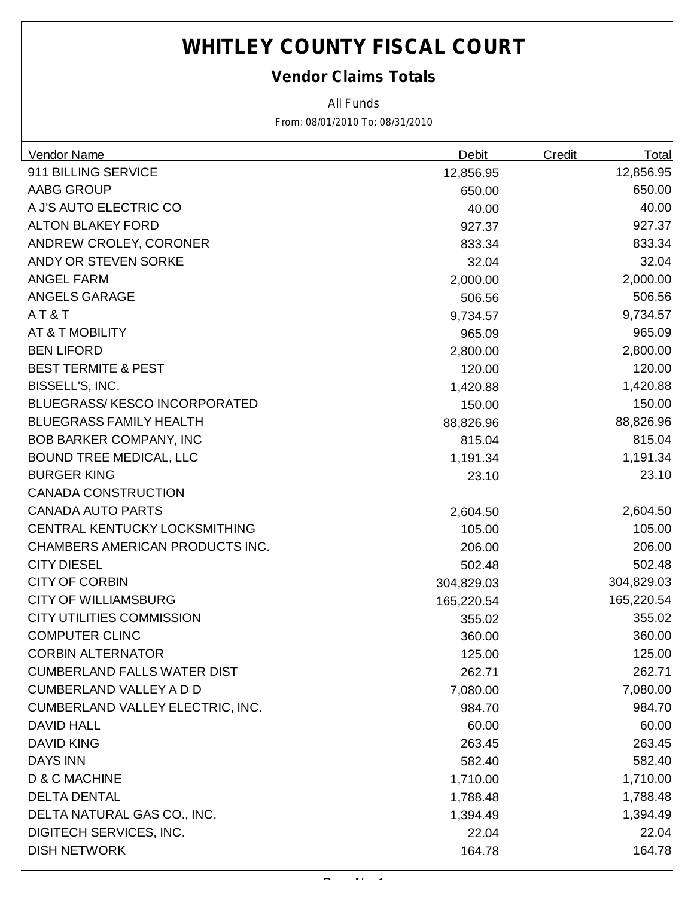#### *Vendor Claims Totals*

*All Funds*

| Vendor Name                         | <b>Debit</b> | <b>Credit</b> | <b>Total</b> |
|-------------------------------------|--------------|---------------|--------------|
| 911 BILLING SERVICE                 | 12,856.95    |               | 12,856.95    |
| AABG GROUP                          | 650.00       |               | 650.00       |
| A J'S AUTO ELECTRIC CO              | 40.00        |               | 40.00        |
| <b>ALTON BLAKEY FORD</b>            | 927.37       |               | 927.37       |
| ANDREW CROLEY, CORONER              | 833.34       |               | 833.34       |
| ANDY OR STEVEN SORKE                | 32.04        |               | 32.04        |
| <b>ANGEL FARM</b>                   | 2,000.00     |               | 2,000.00     |
| ANGELS GARAGE                       | 506.56       |               | 506.56       |
| AT&T                                | 9,734.57     |               | 9,734.57     |
| AT & T MOBILITY                     | 965.09       |               | 965.09       |
| <b>BEN LIFORD</b>                   | 2,800.00     |               | 2,800.00     |
| <b>BEST TERMITE &amp; PEST</b>      | 120.00       |               | 120.00       |
| BISSELL'S, INC.                     | 1,420.88     |               | 1,420.88     |
| <b>BLUEGRASS/KESCO INCORPORATED</b> | 150.00       |               | 150.00       |
| <b>BLUEGRASS FAMILY HEALTH</b>      | 88,826.96    |               | 88,826.96    |
| <b>BOB BARKER COMPANY, INC</b>      | 815.04       |               | 815.04       |
| <b>BOUND TREE MEDICAL, LLC</b>      | 1,191.34     |               | 1,191.34     |
| <b>BURGER KING</b>                  | 23.10        |               | 23.10        |
| <b>CANADA CONSTRUCTION</b>          |              |               |              |
| <b>CANADA AUTO PARTS</b>            | 2,604.50     |               | 2,604.50     |
| CENTRAL KENTUCKY LOCKSMITHING       | 105.00       |               | 105.00       |
| CHAMBERS AMERICAN PRODUCTS INC.     | 206.00       |               | 206.00       |
| <b>CITY DIESEL</b>                  | 502.48       |               | 502.48       |
| <b>CITY OF CORBIN</b>               | 304,829.03   |               | 304,829.03   |
| <b>CITY OF WILLIAMSBURG</b>         | 165,220.54   |               | 165,220.54   |
| <b>CITY UTILITIES COMMISSION</b>    | 355.02       |               | 355.02       |
| <b>COMPUTER CLINC</b>               | 360.00       |               | 360.00       |
| <b>CORBIN ALTERNATOR</b>            | 125.00       |               | 125.00       |
| <b>CUMBERLAND FALLS WATER DIST</b>  | 262.71       |               | 262.71       |
| <b>CUMBERLAND VALLEY A D D</b>      | 7,080.00     |               | 7,080.00     |
| CUMBERLAND VALLEY ELECTRIC, INC.    | 984.70       |               | 984.70       |
| <b>DAVID HALL</b>                   | 60.00        |               | 60.00        |
| <b>DAVID KING</b>                   | 263.45       |               | 263.45       |
| <b>DAYS INN</b>                     | 582.40       |               | 582.40       |
| D & C MACHINE                       | 1,710.00     |               | 1,710.00     |
| <b>DELTA DENTAL</b>                 | 1,788.48     |               | 1,788.48     |
| DELTA NATURAL GAS CO., INC.         | 1,394.49     |               | 1,394.49     |
| DIGITECH SERVICES, INC.             | 22.04        |               | 22.04        |
| <b>DISH NETWORK</b>                 | 164.78       |               | 164.78       |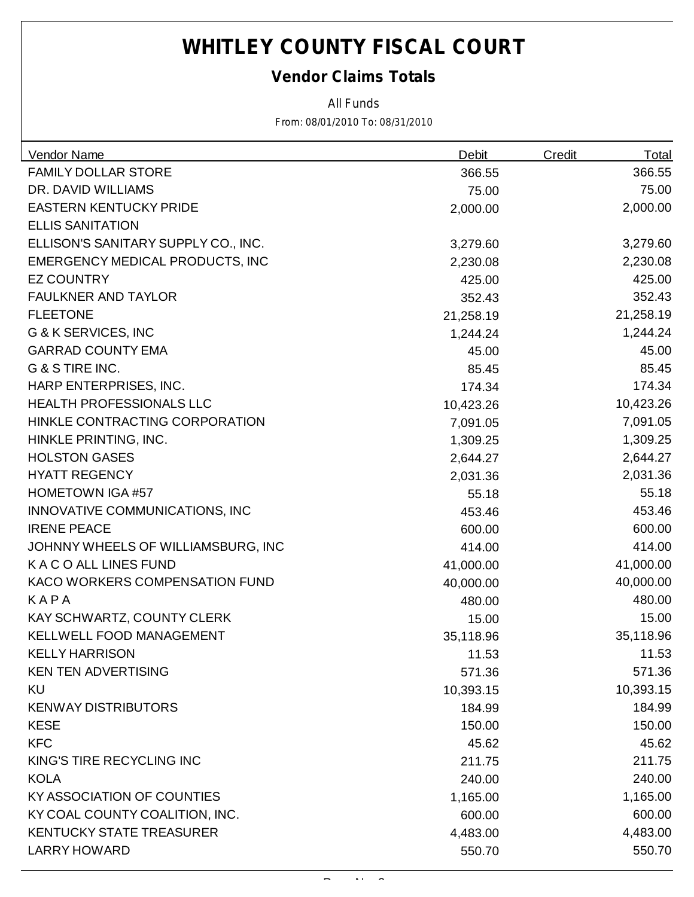### *Vendor Claims Totals*

*All Funds*

| <b>Vendor Name</b>                  | <b>Debit</b> | Credit | <u>Total</u> |
|-------------------------------------|--------------|--------|--------------|
| <b>FAMILY DOLLAR STORE</b>          | 366.55       |        | 366.55       |
| DR. DAVID WILLIAMS                  | 75.00        |        | 75.00        |
| <b>EASTERN KENTUCKY PRIDE</b>       | 2,000.00     |        | 2,000.00     |
| <b>ELLIS SANITATION</b>             |              |        |              |
| ELLISON'S SANITARY SUPPLY CO., INC. | 3,279.60     |        | 3,279.60     |
| EMERGENCY MEDICAL PRODUCTS, INC     | 2,230.08     |        | 2,230.08     |
| <b>EZ COUNTRY</b>                   | 425.00       |        | 425.00       |
| <b>FAULKNER AND TAYLOR</b>          | 352.43       |        | 352.43       |
| <b>FLEETONE</b>                     | 21,258.19    |        | 21,258.19    |
| <b>G &amp; K SERVICES, INC</b>      | 1,244.24     |        | 1,244.24     |
| <b>GARRAD COUNTY EMA</b>            | 45.00        |        | 45.00        |
| G & S TIRE INC.                     | 85.45        |        | 85.45        |
| HARP ENTERPRISES, INC.              | 174.34       |        | 174.34       |
| <b>HEALTH PROFESSIONALS LLC</b>     | 10,423.26    |        | 10,423.26    |
| HINKLE CONTRACTING CORPORATION      | 7,091.05     |        | 7,091.05     |
| HINKLE PRINTING, INC.               | 1,309.25     |        | 1,309.25     |
| <b>HOLSTON GASES</b>                | 2,644.27     |        | 2,644.27     |
| <b>HYATT REGENCY</b>                | 2,031.36     |        | 2,031.36     |
| <b>HOMETOWN IGA #57</b>             | 55.18        |        | 55.18        |
| INNOVATIVE COMMUNICATIONS, INC      | 453.46       |        | 453.46       |
| <b>IRENE PEACE</b>                  | 600.00       |        | 600.00       |
| JOHNNY WHEELS OF WILLIAMSBURG, INC  | 414.00       |        | 414.00       |
| K A C O ALL LINES FUND              | 41,000.00    |        | 41,000.00    |
| KACO WORKERS COMPENSATION FUND      | 40,000.00    |        | 40,000.00    |
| KAPA                                | 480.00       |        | 480.00       |
| KAY SCHWARTZ, COUNTY CLERK          | 15.00        |        | 15.00        |
| KELLWELL FOOD MANAGEMENT            | 35,118.96    |        | 35,118.96    |
| <b>KELLY HARRISON</b>               | 11.53        |        | 11.53        |
| <b>KEN TEN ADVERTISING</b>          | 571.36       |        | 571.36       |
| KU                                  | 10,393.15    |        | 10,393.15    |
| <b>KENWAY DISTRIBUTORS</b>          | 184.99       |        | 184.99       |
| <b>KESE</b>                         | 150.00       |        | 150.00       |
| <b>KFC</b>                          | 45.62        |        | 45.62        |
| KING'S TIRE RECYCLING INC           | 211.75       |        | 211.75       |
| <b>KOLA</b>                         | 240.00       |        | 240.00       |
| KY ASSOCIATION OF COUNTIES          | 1,165.00     |        | 1,165.00     |
| KY COAL COUNTY COALITION, INC.      | 600.00       |        | 600.00       |
| <b>KENTUCKY STATE TREASURER</b>     | 4,483.00     |        | 4,483.00     |
| <b>LARRY HOWARD</b>                 | 550.70       |        | 550.70       |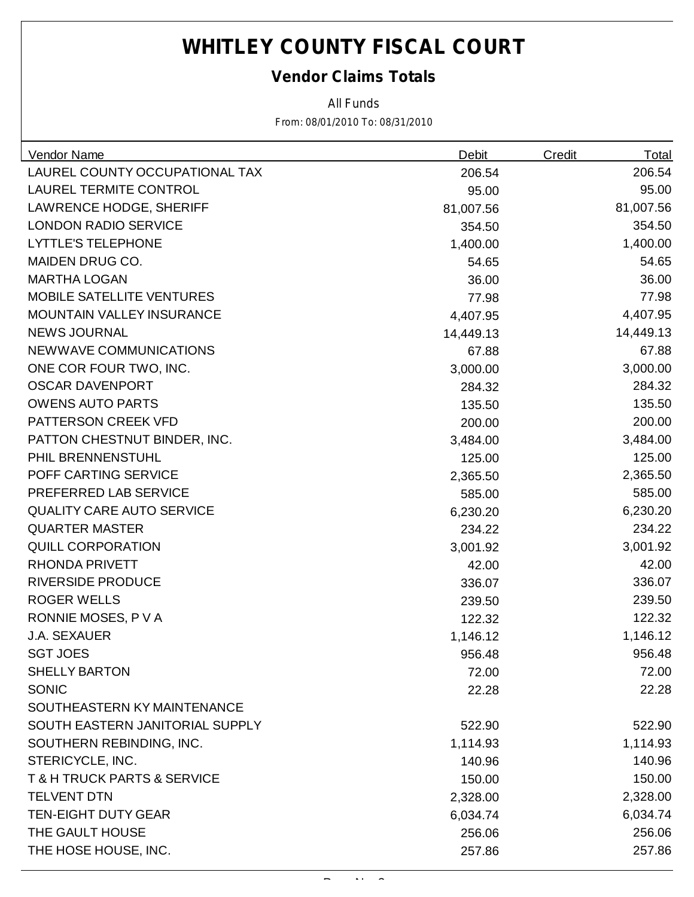### *Vendor Claims Totals*

*All Funds*

| Vendor Name                      | <b>Debit</b> | <b>Credit</b> | Total     |
|----------------------------------|--------------|---------------|-----------|
| LAUREL COUNTY OCCUPATIONAL TAX   | 206.54       |               | 206.54    |
| <b>LAUREL TERMITE CONTROL</b>    | 95.00        |               | 95.00     |
| <b>LAWRENCE HODGE, SHERIFF</b>   | 81,007.56    |               | 81,007.56 |
| <b>LONDON RADIO SERVICE</b>      | 354.50       |               | 354.50    |
| <b>LYTTLE'S TELEPHONE</b>        | 1,400.00     |               | 1,400.00  |
| <b>MAIDEN DRUG CO.</b>           | 54.65        |               | 54.65     |
| <b>MARTHA LOGAN</b>              | 36.00        |               | 36.00     |
| <b>MOBILE SATELLITE VENTURES</b> | 77.98        |               | 77.98     |
| <b>MOUNTAIN VALLEY INSURANCE</b> | 4,407.95     |               | 4,407.95  |
| <b>NEWS JOURNAL</b>              | 14,449.13    |               | 14,449.13 |
| NEWWAVE COMMUNICATIONS           | 67.88        |               | 67.88     |
| ONE COR FOUR TWO, INC.           | 3,000.00     |               | 3,000.00  |
| <b>OSCAR DAVENPORT</b>           | 284.32       |               | 284.32    |
| <b>OWENS AUTO PARTS</b>          | 135.50       |               | 135.50    |
| PATTERSON CREEK VFD              | 200.00       |               | 200.00    |
| PATTON CHESTNUT BINDER, INC.     | 3,484.00     |               | 3,484.00  |
| PHIL BRENNENSTUHL                | 125.00       |               | 125.00    |
| POFF CARTING SERVICE             | 2,365.50     |               | 2,365.50  |
| PREFERRED LAB SERVICE            | 585.00       |               | 585.00    |
| <b>QUALITY CARE AUTO SERVICE</b> | 6,230.20     |               | 6,230.20  |
| <b>QUARTER MASTER</b>            | 234.22       |               | 234.22    |
| <b>QUILL CORPORATION</b>         | 3,001.92     |               | 3,001.92  |
| <b>RHONDA PRIVETT</b>            | 42.00        |               | 42.00     |
| <b>RIVERSIDE PRODUCE</b>         | 336.07       |               | 336.07    |
| <b>ROGER WELLS</b>               | 239.50       |               | 239.50    |
| RONNIE MOSES, P V A              | 122.32       |               | 122.32    |
| <b>J.A. SEXAUER</b>              | 1,146.12     |               | 1,146.12  |
| <b>SGT JOES</b>                  | 956.48       |               | 956.48    |
| <b>SHELLY BARTON</b>             | 72.00        |               | 72.00     |
| <b>SONIC</b>                     | 22.28        |               | 22.28     |
| SOUTHEASTERN KY MAINTENANCE      |              |               |           |
| SOUTH EASTERN JANITORIAL SUPPLY  | 522.90       |               | 522.90    |
| SOUTHERN REBINDING, INC.         | 1,114.93     |               | 1,114.93  |
| STERICYCLE, INC.                 | 140.96       |               | 140.96    |
| T & H TRUCK PARTS & SERVICE      | 150.00       |               | 150.00    |
| <b>TELVENT DTN</b>               | 2,328.00     |               | 2,328.00  |
| <b>TEN-EIGHT DUTY GEAR</b>       | 6,034.74     |               | 6,034.74  |
| THE GAULT HOUSE                  | 256.06       |               | 256.06    |
| THE HOSE HOUSE, INC.             | 257.86       |               | 257.86    |